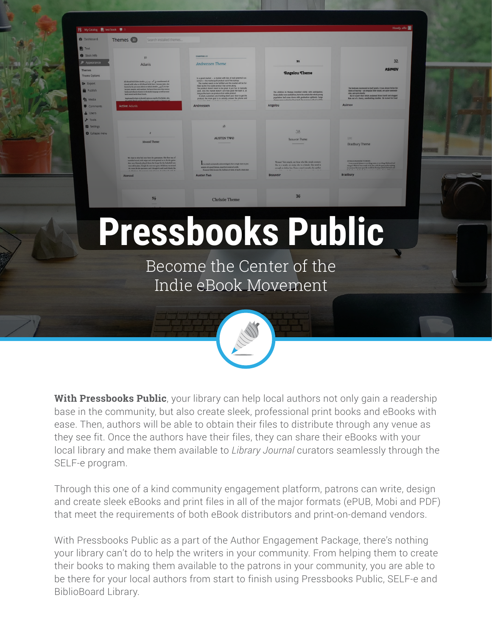

**With Pressbooks Public**, your library can help local authors not only gain a readership base in the community, but also create sleek, professional print books and eBooks with ease. Then, authors will be able to obtain their files to distribute through any venue as they see fit. Once the authors have their files, they can share their eBooks with your local library and make them available to *Library Journal* curators seamlessly through the SELF-e program.

Through this one of a kind community engagement platform, patrons can write, design and create sleek eBooks and print files in all of the major formats (ePUB, Mobi and PDF) that meet the requirements of both eBook distributors and print-on-demand vendors.

With Pressbooks Public as a part of the Author Engagement Package, there's nothing your library can't do to help the writers in your community. From helping them to create their books to making them available to the patrons in your community, you are able to be there for your local authors from start to finish using Pressbooks Public, SELF-e and BiblioBoard Library.